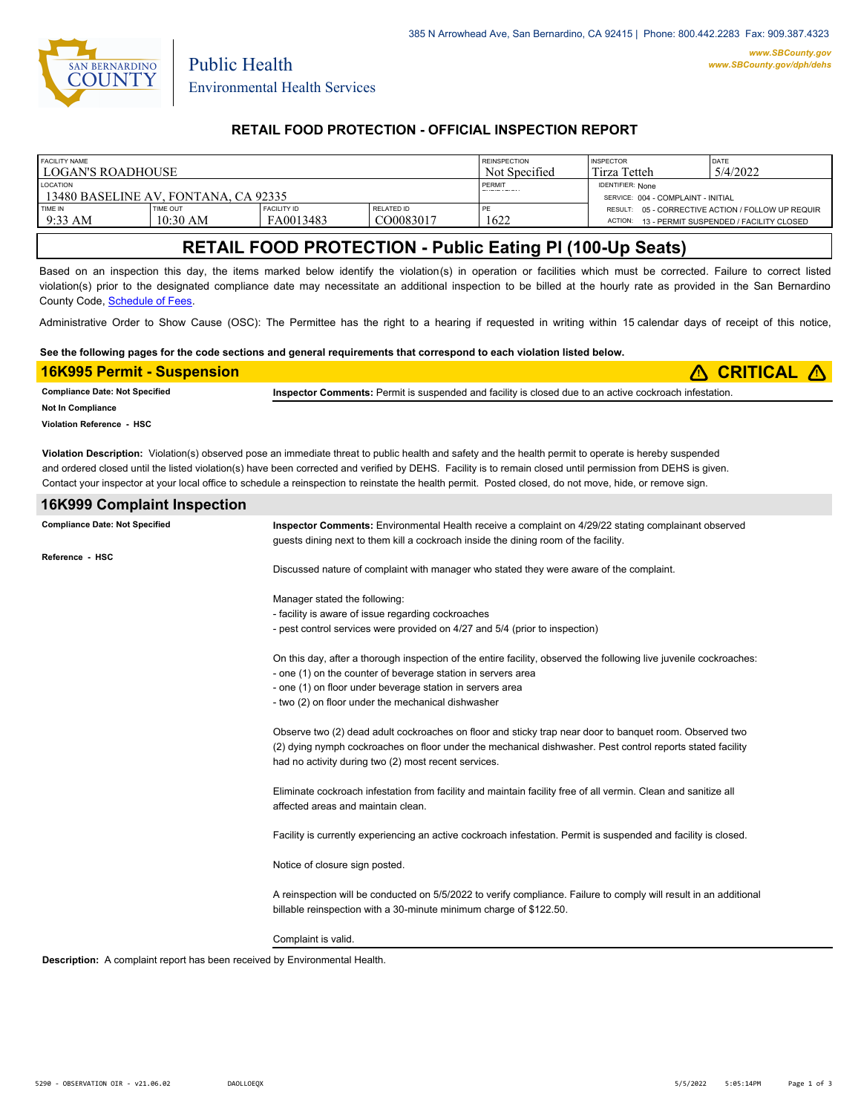

Public Health

### **RETAIL FOOD PROTECTION - OFFICIAL INSPECTION REPORT**

| <b>FACILITY NAME</b>                 |                 |                    |               | <b>REINSPECTION</b>     | <b>INSPECTOR</b>                   | <b>DATE</b>                                       |
|--------------------------------------|-----------------|--------------------|---------------|-------------------------|------------------------------------|---------------------------------------------------|
| <b>LOGAN'S ROADHOUSE</b>             |                 |                    | Not Specified | Tirza Tetteh            | 5/4/2022                           |                                                   |
| <b>LOCATION</b>                      |                 |                    | PERMIT        | <b>IDENTIFIER: None</b> |                                    |                                                   |
| 13480 BASELINE AV. FONTANA. CA 92335 |                 |                    |               |                         | SERVICE: 004 - COMPLAINT - INITIAL |                                                   |
| <b>TIME IN</b>                       | <b>TIME OUT</b> | <b>FACILITY ID</b> | RELATED ID    | PE                      |                                    | RESULT: 05 - CORRECTIVE ACTION / FOLLOW UP REQUIR |
| $9:33$ AM                            | $10:30$ AM      | FA0013483          | CO0083017     | 1622                    |                                    | ACTION: 13 - PERMIT SUSPENDED / FACILITY CLOSED   |

# **RETAIL FOOD PROTECTION - Public Eating Pl (100-Up Seats)**

Based on an inspection this day, the items marked below identify the violation(s) in operation or facilities which must be corrected. Failure to correct listed violation(s) prior to the designated compliance date may necessitate an additional inspection to be billed at the hourly rate as provided in the San Bernardino County Code, Schedule of Fees.

Administrative Order to Show Cause (OSC): The Permittee has the right to a hearing if requested in writing within 15 calendar days of receipt of this notice,

#### **See the following pages for the code sections and general requirements that correspond to each violation listed below.**

| <b>16K995 Permit - Suspension</b>     |                                                                                                                                                                                                                                                                                                                                                                                                                                                                                    |
|---------------------------------------|------------------------------------------------------------------------------------------------------------------------------------------------------------------------------------------------------------------------------------------------------------------------------------------------------------------------------------------------------------------------------------------------------------------------------------------------------------------------------------|
| <b>Compliance Date: Not Specified</b> | Inspector Comments: Permit is suspended and facility is closed due to an active cockroach infestation.                                                                                                                                                                                                                                                                                                                                                                             |
| Not In Compliance                     |                                                                                                                                                                                                                                                                                                                                                                                                                                                                                    |
| Violation Reference - HSC             |                                                                                                                                                                                                                                                                                                                                                                                                                                                                                    |
|                                       | Violation Description: Violation(s) observed pose an immediate threat to public health and safety and the health permit to operate is hereby suspended<br>and ordered closed until the listed violation(s) have been corrected and verified by DEHS. Facility is to remain closed until permission from DEHS is given.<br>Contact your inspector at your local office to schedule a reinspection to reinstate the health permit. Posted closed, do not move, hide, or remove sign. |
| <b>16K999 Complaint Inspection</b>    |                                                                                                                                                                                                                                                                                                                                                                                                                                                                                    |
| <b>Compliance Date: Not Specified</b> | Inspector Comments: Environmental Health receive a complaint on 4/29/22 stating complainant observed<br>quests dining next to them kill a cockroach inside the dining room of the facility.                                                                                                                                                                                                                                                                                        |
| Reference HSC                         | Discussed nature of complaint with manager who stated they were aware of the complaint.                                                                                                                                                                                                                                                                                                                                                                                            |

Manager stated the following:

- facility is aware of issue regarding cockroaches

- pest control services were provided on 4/27 and 5/4 (prior to inspection)

On this day, after a thorough inspection of the entire facility, observed the following live juvenile cockroaches: - one (1) on the counter of beverage station in servers area

- one (1) on floor under beverage station in servers area

- 
- two (2) on floor under the mechanical dishwasher

Observe two (2) dead adult cockroaches on floor and sticky trap near door to banquet room. Observed two (2) dying nymph cockroaches on floor under the mechanical dishwasher. Pest control reports stated facility had no activity during two (2) most recent services.

Eliminate cockroach infestation from facility and maintain facility free of all vermin. Clean and sanitize all affected areas and maintain clean.

Facility is currently experiencing an active cockroach infestation. Permit is suspended and facility is closed.

Notice of closure sign posted.

A reinspection will be conducted on 5/5/2022 to verify compliance. Failure to comply will result in an additional billable reinspection with a 30-minute minimum charge of \$122.50.

Complaint is valid.

**Description:** A complaint report has been received by Environmental Health.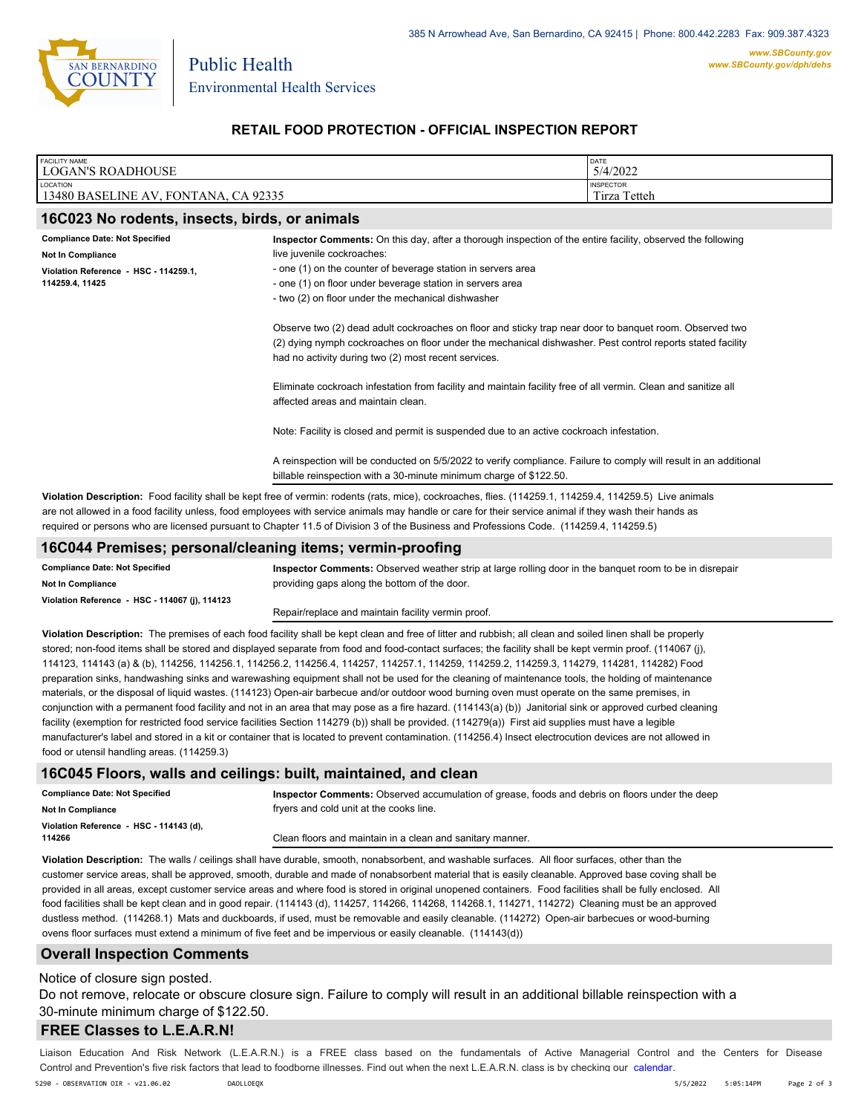

Environmental Health Services

Public Health

### **RETAIL FOOD PROTECTION - OFFICIAL INSPECTION REPORT**

| <b>FACILITY NAME</b><br><b>LOGAN'S ROADHOUSE</b>         |                                                                                                                                                                                                                                                                                                                                                                                                                                                              | DATE<br>5/4/2022 |  |
|----------------------------------------------------------|--------------------------------------------------------------------------------------------------------------------------------------------------------------------------------------------------------------------------------------------------------------------------------------------------------------------------------------------------------------------------------------------------------------------------------------------------------------|------------------|--|
| LOCATION<br>13480 BASELINE AV, FONTANA, CA 92335         | <b>INSPECTOR</b><br>Tirza Tetteh                                                                                                                                                                                                                                                                                                                                                                                                                             |                  |  |
| 16C023 No rodents, insects, birds, or animals            |                                                                                                                                                                                                                                                                                                                                                                                                                                                              |                  |  |
| <b>Compliance Date: Not Specified</b>                    | Inspector Comments: On this day, after a thorough inspection of the entire facility, observed the following                                                                                                                                                                                                                                                                                                                                                  |                  |  |
| Not In Compliance                                        | live juvenile cockroaches:                                                                                                                                                                                                                                                                                                                                                                                                                                   |                  |  |
| Violation Reference - HSC - 114259.1,<br>114259.4, 11425 | - one (1) on the counter of beverage station in servers area<br>- one (1) on floor under beverage station in servers area<br>- two (2) on floor under the mechanical dishwasher                                                                                                                                                                                                                                                                              |                  |  |
|                                                          | Observe two (2) dead adult cockroaches on floor and sticky trap near door to banquet room. Observed two<br>(2) dying nymph cockroaches on floor under the mechanical dishwasher. Pest control reports stated facility<br>had no activity during two (2) most recent services.                                                                                                                                                                                |                  |  |
|                                                          | Eliminate cockroach infestation from facility and maintain facility free of all vermin. Clean and sanitize all<br>affected areas and maintain clean.                                                                                                                                                                                                                                                                                                         |                  |  |
|                                                          | Note: Facility is closed and permit is suspended due to an active cockroach infestation.                                                                                                                                                                                                                                                                                                                                                                     |                  |  |
|                                                          | A reinspection will be conducted on 5/5/2022 to verify compliance. Failure to comply will result in an additional<br>billable reinspection with a 30-minute minimum charge of \$122.50.                                                                                                                                                                                                                                                                      |                  |  |
|                                                          | Violation Description: Food facility shall be kept free of vermin: rodents (rats, mice), cockroaches, flies. (114259.1, 114259.4, 114259.5) Live animals<br>are not allowed in a food facility unless, food employees with service animals may handle or care for their service animal if they wash their hands as<br>required or persons who are licensed pursuant to Chapter 11.5 of Division 3 of the Business and Professions Code. (114259.4, 114259.5) |                  |  |
|                                                          | 16C044 Promises: nersonal/cleaning items: vermin-proofing                                                                                                                                                                                                                                                                                                                                                                                                    |                  |  |

#### **16C044 Premises; personal/cleaning items; vermin-proofing**

**Compliance Date: Not Specified Violation Reference - HSC - 114067 (j), 114123 Not In Compliance**

**Inspector Comments:** Observed weather strip at large rolling door in the banquet room to be in disrepair providing gaps along the bottom of the door.

Repair/replace and maintain facility vermin proof.

**Violation Description:** The premises of each food facility shall be kept clean and free of litter and rubbish; all clean and soiled linen shall be properly stored; non-food items shall be stored and displayed separate from food and food-contact surfaces; the facility shall be kept vermin proof. (114067 (j), 114123, 114143 (a) & (b), 114256, 114256.1, 114256.2, 114256.4, 114257, 114257.1, 114259, 114259.2, 114259.3, 114279, 114281, 114282) Food preparation sinks, handwashing sinks and warewashing equipment shall not be used for the cleaning of maintenance tools, the holding of maintenance materials, or the disposal of liquid wastes. (114123) Open-air barbecue and/or outdoor wood burning oven must operate on the same premises, in conjunction with a permanent food facility and not in an area that may pose as a fire hazard. (114143(a) (b)) Janitorial sink or approved curbed cleaning facility (exemption for restricted food service facilities Section 114279 (b)) shall be provided. (114279(a)) First aid supplies must have a legible manufacturer's label and stored in a kit or container that is located to prevent contamination. (114256.4) Insect electrocution devices are not allowed in food or utensil handling areas. (114259.3)

#### **16C045 Floors, walls and ceilings: built, maintained, and clean**

| <b>Compliance Date: Not Specified</b>             | Inspector Comments: Observed accumulation of grease, foods and debris on floors under the deep |
|---------------------------------------------------|------------------------------------------------------------------------------------------------|
| <b>Not In Compliance</b>                          | fryers and cold unit at the cooks line.                                                        |
| Violation Reference - HSC - 114143 (d).<br>114266 | Clean floors and maintain in a clean and sanitary manner.                                      |

**Violation Description:** The walls / ceilings shall have durable, smooth, nonabsorbent, and washable surfaces. All floor surfaces, other than the customer service areas, shall be approved, smooth, durable and made of nonabsorbent material that is easily cleanable. Approved base coving shall be provided in all areas, except customer service areas and where food is stored in original unopened containers. Food facilities shall be fully enclosed. All food facilities shall be kept clean and in good repair. (114143 (d), 114257, 114266, 114268, 114268.1, 114271, 114272) Cleaning must be an approved dustless method. (114268.1) Mats and duckboards, if used, must be removable and easily cleanable. (114272) Open-air barbecues or wood-burning ovens floor surfaces must extend a minimum of five feet and be impervious or easily cleanable. (114143(d))

### **Overall Inspection Comments**

#### Notice of closure sign posted.

Do not remove, relocate or obscure closure sign. Failure to comply will result in an additional billable reinspection with a 30-minute minimum charge of \$122.50.

### **FREE Classes to L.E.A.R.N!**

Liaison Education And Risk Network (L.E.A.R.N.) is a FREE class based on the fundamentals of Active Managerial Control and [the Centers](http://wp.sbcounty.gov/dph/events/) for Disease Control and Prevention's five risk factors that lead to foodborne illnesses. Find out when the next L.E.A.R.N. class is by checking our calendar. 5290 - OBSERVATION OIR - v21.06.02 DAOLLOEQX 5/5/2022 5:05:14PM Page 2 of 3